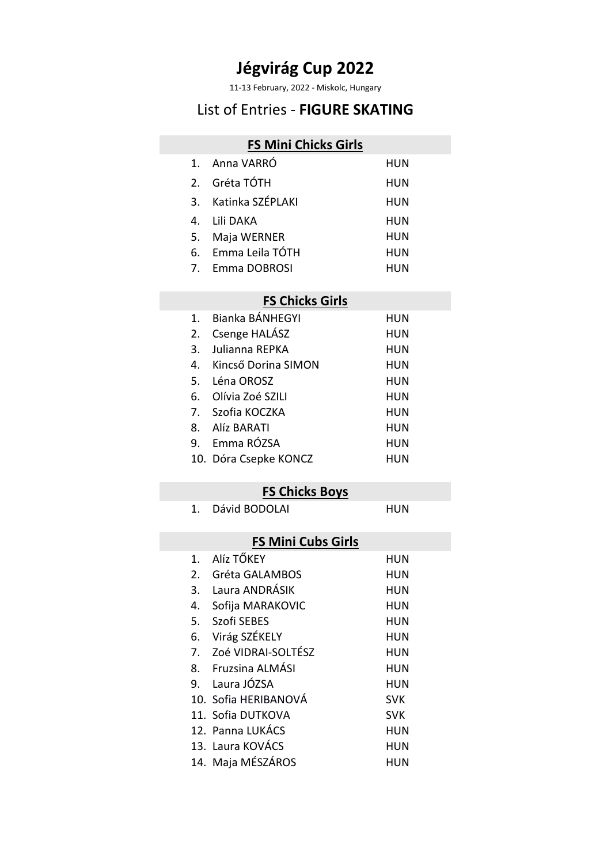11-13 February, 2022 - Miskolc, Hungary

## List of Entries - **FIGURE SKATING**

#### **FS Mini Chicks Girls**

|    | 1. Anna VARRÓ       | HUN |
|----|---------------------|-----|
|    | 2. Gréta TÓTH       | HUN |
|    | 3. Katinka SZÉPLAKI | HUN |
|    | 4. I ili DAKA       | HUN |
| 5. | Maja WERNER         | HUN |
|    | 6. Emma Leila TÓTH  | HUN |
|    |                     |     |

7. Emma DOBROSI HUN

#### **FS Chicks Girls**

|    | 1. Bianka BÁNHEGYI    | HUN        |
|----|-----------------------|------------|
| 2. | Csenge HALÁSZ         | HUN        |
| 3. | Julianna REPKA        | HUN        |
| 4. | Kincső Dorina SIMON   | HUN        |
|    | 5. Léna OROSZ         | <b>HUN</b> |
| 6. | Olívia Zoé SZILI      | <b>HUN</b> |
|    | 7. Szofia KOCZKA      | HUN        |
|    | 8. Alíz BARATI        | HUN        |
|    | 9. Emma RÓZSA         | HUN        |
|    | 10. Dóra Csepke KONCZ | HUN        |

#### **FS Chicks Boys**

1. Dávid BODOLAI HUN

#### **FS Mini Cubs Girls**

| 1. | Alíz TŐKEY           | <b>HUN</b> |
|----|----------------------|------------|
| 2. | Gréta GALAMBOS       | HUN        |
|    | 3. Laura ANDRÁSIK    | <b>HUN</b> |
| 4. | Sofija MARAKOVIC     | <b>HUN</b> |
| 5. | Szofi SEBES          | <b>HUN</b> |
|    | 6. Virág SZÉKELY     | <b>HUN</b> |
| 7. | Zoé VIDRAI-SOLTÉSZ   | <b>HUN</b> |
|    | 8. Fruzsina ALMÁSI   | <b>HUN</b> |
|    | 9. Laura JÓZSA       | <b>HUN</b> |
|    | 10. Sofia HERIBANOVÁ | <b>SVK</b> |
|    | 11. Sofia DUTKOVA    | <b>SVK</b> |
|    | 12. Panna LUKÁCS     | <b>HUN</b> |
|    | 13. Laura KOVÁCS     | <b>HUN</b> |
|    | 14. Maja MÉSZÁROS    | HUN        |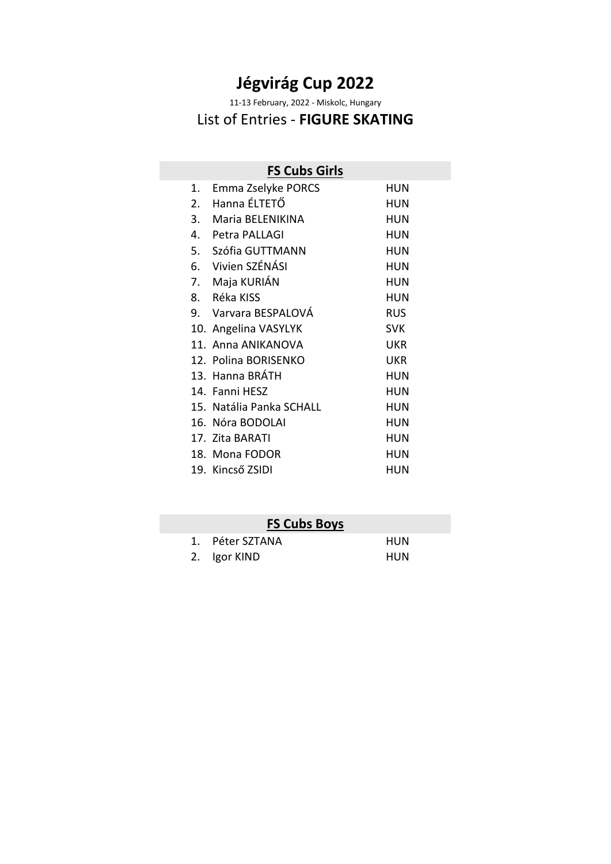11-13 February, 2022 - Miskolc, Hungary

# List of Entries - **FIGURE SKATING**

| <b>FS Cubs Girls</b>                   |  |  |
|----------------------------------------|--|--|
| Emma Zselyke PORCS<br>HUN              |  |  |
| HUN                                    |  |  |
| 3. Maria BELENIKINA<br><b>HUN</b>      |  |  |
| HUN                                    |  |  |
| 5. Szófia GUTTMANN<br>HUN              |  |  |
| HUN                                    |  |  |
| <b>HUN</b>                             |  |  |
| HUN                                    |  |  |
| 9. Varvara BESPALOVA<br><b>RUS</b>     |  |  |
| <b>SVK</b><br>10. Angelina VASYLYK     |  |  |
| 11. Anna ANIKANOVA<br><b>UKR</b>       |  |  |
| 12. Polina BORISENKO<br><b>UKR</b>     |  |  |
| HUN                                    |  |  |
| <b>HUN</b>                             |  |  |
| 15. Natália Panka SCHALL<br><b>HUN</b> |  |  |
| HUN                                    |  |  |
| HUN                                    |  |  |
| HUN                                    |  |  |
| HUN                                    |  |  |
|                                        |  |  |

# **FS Cubs Boys**

| 1. Péter SZTANA | <b>HUN</b> |
|-----------------|------------|
| 2. Igor KIND    | HUN        |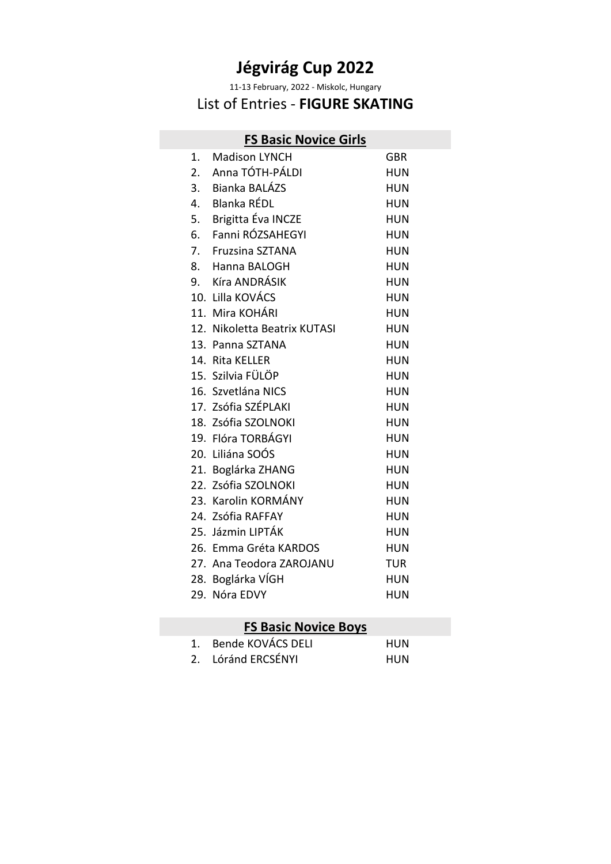11-13 February, 2022 - Miskolc, Hungary

## List of Entries - **FIGURE SKATING**

### **FS Basic Novice Girls**

| 1. | <b>Madison LYNCH</b>         | <b>GBR</b> |
|----|------------------------------|------------|
|    | 2. Anna TÓTH-PÁLDI           | <b>HUN</b> |
|    | 3. Bianka BALÁZS             | <b>HUN</b> |
| 4. | Blanka RÉDL                  | <b>HUN</b> |
|    | 5. Brigitta Éva INCZE        | <b>HUN</b> |
| 6. | Fanni RÓZSAHEGYI             | <b>HUN</b> |
|    | 7. Fruzsina SZTANA           | <b>HUN</b> |
| 8. | Hanna BALOGH                 | <b>HUN</b> |
|    | 9. Kíra ANDRÁSIK             | <b>HUN</b> |
|    | 10. Lilla KOVÁCS             | <b>HUN</b> |
|    | 11. Mira KOHÁRI              | <b>HUN</b> |
|    | 12. Nikoletta Beatrix KUTASI | <b>HUN</b> |
|    | 13. Panna SZTANA             | <b>HUN</b> |
|    | 14. Rita KELLER              | <b>HUN</b> |
|    | 15. Szilvia FÜLÖP            | <b>HUN</b> |
|    | 16. Szvetlána NICS           | <b>HUN</b> |
|    | 17. Zsófia SZÉPLAKI          | <b>HUN</b> |
|    | 18. Zsófia SZOLNOKI          | <b>HUN</b> |
|    | 19. Flóra TORBÁGYI           | <b>HUN</b> |
|    | 20. Liliána SOÓS             | <b>HUN</b> |
|    | 21. Boglárka ZHANG           | <b>HUN</b> |
|    | 22. Zsófia SZOLNOKI          | <b>HUN</b> |
|    | 23. Karolin KORMÁNY          | <b>HUN</b> |
|    | 24. Zsófia RAFFAY            | <b>HUN</b> |
|    | 25. Jázmin LIPTÁK            | <b>HUN</b> |
|    | 26. Emma Gréta KARDOS        | <b>HUN</b> |
|    | 27. Ana Teodora ZAROJANU     | <b>TUR</b> |
|    | 28. Boglárka VÍGH            | <b>HUN</b> |
|    | 29. Nóra EDVY                | <b>HUN</b> |
|    |                              |            |

# **FS Basic Novice Boys**

| 1. Bende KOVÁCS DELI | HUN |
|----------------------|-----|
| 2. Lóránd ERCSÉNYI   | HUN |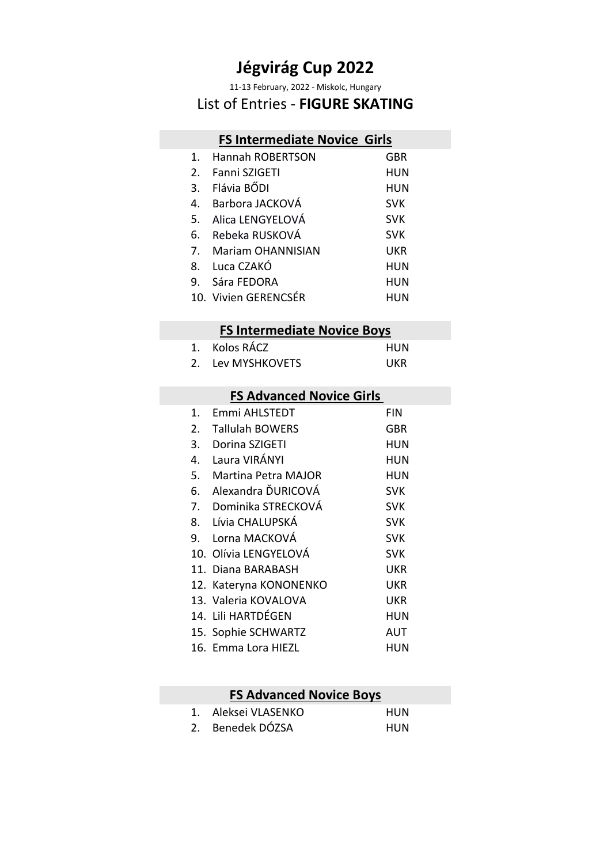11-13 February, 2022 - Miskolc, Hungary

#### List of Entries - **FIGURE SKATING**

# **FS Intermediate Novice Girls**

| 1.             | <b>Hannah ROBERTSON</b>  | <b>GBR</b> |
|----------------|--------------------------|------------|
| 2 <sub>1</sub> | Fanni SZIGETI            | <b>HUN</b> |
| 3.             | Flávia BŐDI              | <b>HUN</b> |
| 4.             | Barbora JACKOVÁ          | <b>SVK</b> |
| 5.             | Alica LENGYELOVÁ         | <b>SVK</b> |
| 6.             | Rebeka RUSKOVÁ           | <b>SVK</b> |
| 7.             | <b>Mariam OHANNISIAN</b> | <b>UKR</b> |
| 8.             | Luca CZAKÓ               | <b>HUN</b> |
| 9.             | Sára FEDORA              | <b>HUN</b> |
|                | 10. Vivien GERENCSÉR     | HUN        |

#### **FS Intermediate Novice Boys**

| 1. Kolos RÁCZ     | HUN |
|-------------------|-----|
| 2. Lev MYSHKOVETS | UKR |

#### **FS Advanced Novice Girls**

| $\mathbf{1}$ . | Emmi AHLSTEDT          | FIN        |
|----------------|------------------------|------------|
| 2.             | <b>Tallulah BOWERS</b> | GBR        |
| 3.             | Dorina SZIGETI         | HUN        |
| 4.             | Laura VIRÁNYI          | <b>HUN</b> |
| 5.             | Martina Petra MAJOR    | HUN        |
| 6.             | Alexandra ĎURICOVÁ     | <b>SVK</b> |
|                | 7. Dominika STRECKOVÁ  | <b>SVK</b> |
|                | 8. Lívia CHALUPSKÁ     | <b>SVK</b> |
|                | 9. Lorna MACKOVÁ       | <b>SVK</b> |
|                | 10. Olívia LENGYELOVÁ  | <b>SVK</b> |
|                | 11. Diana BARABASH     | UKR        |
|                | 12. Kateryna KONONENKO | <b>UKR</b> |
|                | 13. Valeria KOVALOVA   | <b>UKR</b> |
|                | 14. Lili HARTDÉGEN     | <b>HUN</b> |
|                | 15. Sophie SCHWARTZ    | AUT        |
|                |                        |            |

#### 16. Emma Lora HIEZL HUN

#### **FS Advanced Novice Boys**

| 1. Aleksei VLASENKO | HUN |
|---------------------|-----|
| 2. Benedek DÓZSA    | HUN |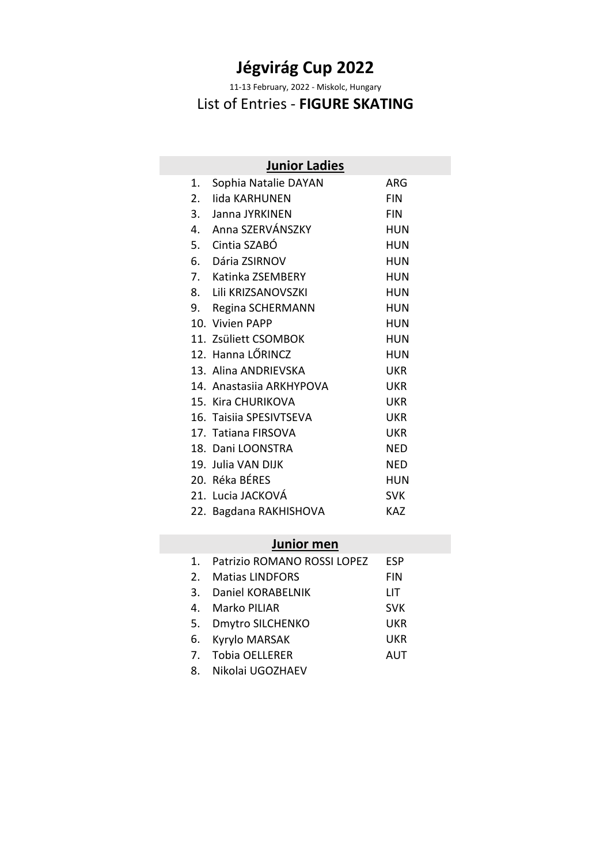11-13 February, 2022 - Miskolc, Hungary

## List of Entries - **FIGURE SKATING**

|    | <b>Junior Ladies</b>     |            |
|----|--------------------------|------------|
| 1. | Sophia Natalie DAYAN     | ARG        |
| 2. | lida KARHUNEN            | <b>FIN</b> |
| 3. | Janna JYRKINEN           | <b>FIN</b> |
|    | 4. Anna SZERVÁNSZKY      | <b>HUN</b> |
|    | 5. Cintia SZABÓ          | <b>HUN</b> |
|    | 6. Dária ZSIRNOV         | <b>HUN</b> |
|    | 7. Katinka ZSEMBERY      | <b>HUN</b> |
|    | 8. Lili KRIZSANOVSZKI    | <b>HUN</b> |
|    | 9. Regina SCHERMANN      | <b>HUN</b> |
|    | 10. Vivien PAPP          | <b>HUN</b> |
|    | 11. Zsüliett CSOMBOK     | <b>HUN</b> |
|    | 12. Hanna LŐRINCZ        | <b>HUN</b> |
|    | 13. Alina ANDRIEVSKA     | <b>UKR</b> |
|    | 14. Anastasija ARKHYPOVA | <b>UKR</b> |
|    | 15. Kira CHURIKOVA       | <b>UKR</b> |
|    | 16. Taisiia SPESIVTSEVA  | <b>UKR</b> |
|    | 17. Tatiana FIRSOVA      | <b>UKR</b> |
|    | 18. Dani LOONSTRA        | <b>NED</b> |
|    | 19. Julia VAN DIJK       | <b>NED</b> |
|    | 20. Réka BÉRES           | <b>HUN</b> |
|    | 21. Lucia JACKOVÁ        | <b>SVK</b> |
|    | 22. Bagdana RAKHISHOVA   | <b>KAZ</b> |

### **Junior men**

| 1. Patrizio ROMANO ROSSI LOPEZ | <b>ESP</b> |
|--------------------------------|------------|
| 2. Matias LINDFORS             | <b>FIN</b> |
| 3. Daniel KORABELNIK           | LIT        |
| 4. Marko PILIAR                | <b>SVK</b> |
| 5. Dmytro SILCHENKO            | <b>UKR</b> |
| 6. Kyrylo MARSAK               | <b>UKR</b> |
| 7. Tobia OELLERER              | <b>AUT</b> |
| 8. Nikolai UGOZHAEV            |            |
|                                |            |